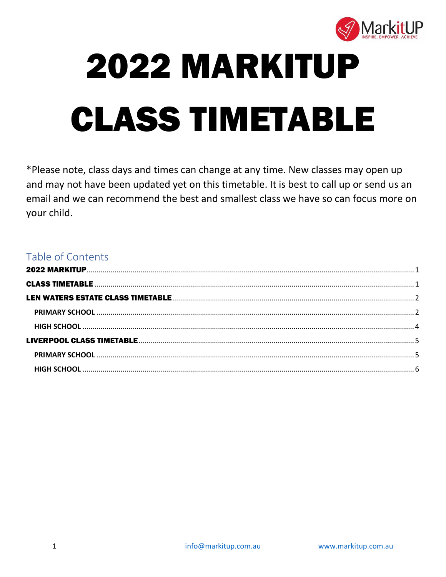<span id="page-0-1"></span>

# <span id="page-0-0"></span>**2022 MARKITUP CLASS TIMETABLE**

\*Please note, class days and times can change at any time. New classes may open up and may not have been updated yet on this timetable. It is best to call up or send us an email and we can recommend the best and smallest class we have so can focus more on your child.

## Table of Contents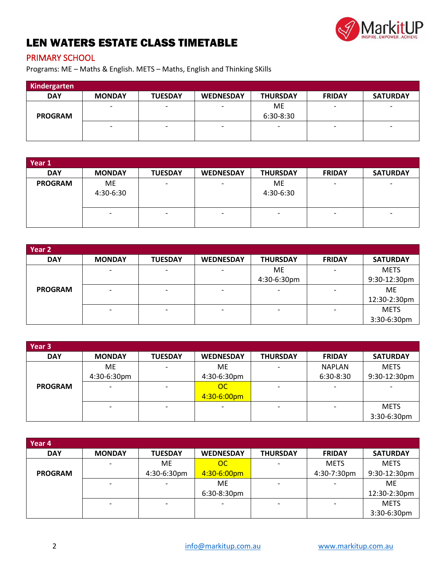

## <span id="page-1-0"></span>LEN WATERS ESTATE CLASS TIMETABLE

#### <span id="page-1-1"></span>PRIMARY SCHOOL

Programs: ME – Maths & English. METS – Maths, English and Thinking SKills

| Kindergarten   |                          |                          |                          |                 |                          |                          |
|----------------|--------------------------|--------------------------|--------------------------|-----------------|--------------------------|--------------------------|
| <b>DAY</b>     | <b>MONDAY</b>            | <b>TUESDAY</b>           | <b>WEDNESDAY</b>         | <b>THURSDAY</b> | <b>FRIDAY</b>            | <b>SATURDAY</b>          |
|                | $\overline{\phantom{a}}$ | $\overline{\phantom{0}}$ | $\overline{\phantom{0}}$ | ME              | $\overline{\phantom{0}}$ | $\overline{\phantom{0}}$ |
| <b>PROGRAM</b> |                          |                          |                          | 6:30-8:30       |                          |                          |
|                | $\overline{\phantom{0}}$ | $\overline{\phantom{0}}$ | $\overline{\phantom{0}}$ | -               | $\overline{\phantom{0}}$ | $\overline{\phantom{0}}$ |
|                |                          |                          |                          |                 |                          |                          |

| Year 1         |                 |                          |                          |                 |                          |                 |
|----------------|-----------------|--------------------------|--------------------------|-----------------|--------------------------|-----------------|
| <b>DAY</b>     | <b>MONDAY</b>   | <b>TUESDAY</b>           | <b>WEDNESDAY</b>         | <b>THURSDAY</b> | <b>FRIDAY</b>            | <b>SATURDAY</b> |
| <b>PROGRAM</b> | ME<br>4:30-6:30 | $\overline{\phantom{0}}$ | $\overline{\phantom{0}}$ | ME<br>4:30-6:30 | $\overline{\phantom{0}}$ | -               |
|                |                 | $\overline{\phantom{0}}$ | $\overline{\phantom{0}}$ |                 | $\overline{\phantom{a}}$ |                 |

| Year 2         |                          |                          |                          |                 |                          |                 |
|----------------|--------------------------|--------------------------|--------------------------|-----------------|--------------------------|-----------------|
| <b>DAY</b>     | <b>MONDAY</b>            | <b>TUESDAY</b>           | <b>WEDNESDAY</b>         | <b>THURSDAY</b> | <b>FRIDAY</b>            | <b>SATURDAY</b> |
|                |                          | $\overline{\phantom{0}}$ |                          | ME              | $\overline{\phantom{0}}$ | <b>METS</b>     |
|                |                          |                          |                          | 4:30-6:30pm     |                          | 9:30-12:30pm    |
| <b>PROGRAM</b> | $\overline{\phantom{0}}$ | $\overline{\phantom{0}}$ | $\overline{\phantom{0}}$ |                 | $\overline{\phantom{0}}$ | ME              |
|                |                          |                          |                          |                 |                          | 12:30-2:30pm    |
|                |                          | $\overline{\phantom{0}}$ | $\overline{\phantom{0}}$ |                 | -                        | <b>METS</b>     |
|                |                          |                          |                          |                 |                          | 3:30-6:30pm     |

| Year 3         |               |                |                  |                 |               |                 |
|----------------|---------------|----------------|------------------|-----------------|---------------|-----------------|
| <b>DAY</b>     | <b>MONDAY</b> | <b>TUESDAY</b> | <b>WEDNESDAY</b> | <b>THURSDAY</b> | <b>FRIDAY</b> | <b>SATURDAY</b> |
|                | <b>ME</b>     |                | ME               |                 | <b>NAPLAN</b> | <b>METS</b>     |
|                | 4:30-6:30pm   |                | 4:30-6:30pm      |                 | 6:30-8:30     | 9:30-12:30pm    |
| <b>PROGRAM</b> |               |                | OC               |                 |               |                 |
|                |               |                | 4:30-6:00pm      |                 |               |                 |
|                |               |                |                  |                 |               | <b>METS</b>     |
|                |               |                |                  |                 |               | 3:30-6:30pm     |

| Year 4         |               |                |                  |                 |               |                 |
|----------------|---------------|----------------|------------------|-----------------|---------------|-----------------|
| <b>DAY</b>     | <b>MONDAY</b> | <b>TUESDAY</b> | <b>WEDNESDAY</b> | <b>THURSDAY</b> | <b>FRIDAY</b> | <b>SATURDAY</b> |
|                |               | <b>ME</b>      | OC               |                 | <b>METS</b>   | <b>METS</b>     |
| <b>PROGRAM</b> |               | 4:30-6:30pm    | 4:30-6:00pm      |                 | 4:30-7:30pm   | 9:30-12:30pm    |
|                |               |                | ME.              |                 |               | ME.             |
|                |               |                | 6:30-8:30pm      |                 |               | 12:30-2:30pm    |
|                |               |                |                  |                 |               | <b>METS</b>     |
|                |               |                |                  |                 |               | 3:30-6:30pm     |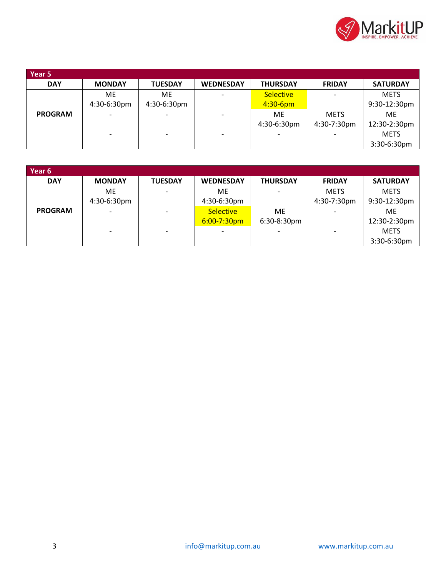

| Year 5         |               |                |                  |                  |               |                 |
|----------------|---------------|----------------|------------------|------------------|---------------|-----------------|
| <b>DAY</b>     | <b>MONDAY</b> | <b>TUESDAY</b> | <b>WEDNESDAY</b> | <b>THURSDAY</b>  | <b>FRIDAY</b> | <b>SATURDAY</b> |
|                | ME.           | <b>ME</b>      |                  | <b>Selective</b> |               | <b>METS</b>     |
|                | 4:30-6:30pm   | 4:30-6:30pm    |                  | $4:30-6$ pm      |               | 9:30-12:30pm    |
| <b>PROGRAM</b> |               |                |                  | ME               | <b>METS</b>   | ME              |
|                |               |                |                  | 4:30-6:30pm      | 4:30-7:30pm   | 12:30-2:30pm    |
|                |               |                |                  |                  |               | <b>METS</b>     |
|                |               |                |                  |                  |               | 3:30-6:30pm     |

| Year 6         |               |                |                          |                 |               |                 |
|----------------|---------------|----------------|--------------------------|-----------------|---------------|-----------------|
| <b>DAY</b>     | <b>MONDAY</b> | <b>TUESDAY</b> | <b>WEDNESDAY</b>         | <b>THURSDAY</b> | <b>FRIDAY</b> | <b>SATURDAY</b> |
|                | ME.           |                | <b>ME</b>                |                 | <b>METS</b>   | <b>METS</b>     |
|                | 4:30-6:30pm   |                | 4:30-6:30pm              |                 | 4:30-7:30pm   | 9:30-12:30pm    |
| <b>PROGRAM</b> |               |                | <b>Selective</b>         | ME              |               | ME              |
|                |               |                | $6:00 - 7:30$ pm         | 6:30-8:30pm     |               | 12:30-2:30pm    |
|                |               |                | $\overline{\phantom{0}}$ |                 |               | <b>METS</b>     |
|                |               |                |                          |                 |               | 3:30-6:30pm     |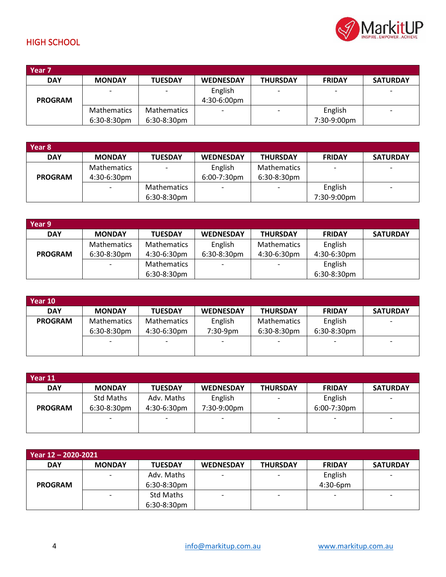

### <span id="page-3-0"></span>HIGH SCHOOL

| Year <sub>7</sub> |                    |                          |                          |                 |               |                          |
|-------------------|--------------------|--------------------------|--------------------------|-----------------|---------------|--------------------------|
| <b>DAY</b>        | <b>MONDAY</b>      | <b>TUESDAY</b>           | <b>WEDNESDAY</b>         | <b>THURSDAY</b> | <b>FRIDAY</b> | <b>SATURDAY</b>          |
|                   |                    | $\overline{\phantom{0}}$ | English                  |                 |               | $\overline{\phantom{0}}$ |
| <b>PROGRAM</b>    |                    |                          | 4:30-6:00pm              |                 |               |                          |
|                   | <b>Mathematics</b> | <b>Mathematics</b>       | $\overline{\phantom{a}}$ |                 | English       | $\overline{\phantom{0}}$ |
|                   | $6:30-8:30$ pm     | $6:30-8:30$ pm           |                          |                 | 7:30-9:00pm   |                          |

| Year 8         |                    |                          |                          |                    |               |                 |
|----------------|--------------------|--------------------------|--------------------------|--------------------|---------------|-----------------|
| <b>DAY</b>     | <b>MONDAY</b>      | <b>TUESDAY</b>           | <b>WEDNESDAY</b>         | <b>THURSDAY</b>    | <b>FRIDAY</b> | <b>SATURDAY</b> |
|                | <b>Mathematics</b> | $\overline{\phantom{0}}$ | English                  | <b>Mathematics</b> |               |                 |
| <b>PROGRAM</b> | $4:30-6:30$ pm     |                          | $6:00-7:30$ pm           | $6:30-8:30$ pm     |               |                 |
|                |                    | <b>Mathematics</b>       | $\overline{\phantom{0}}$ |                    | English       |                 |
|                |                    | $6:30-8:30$ pm           |                          |                    | 7:30-9:00pm   |                 |

| Year 9         |                    |                    |                          |                    |               |                 |
|----------------|--------------------|--------------------|--------------------------|--------------------|---------------|-----------------|
| <b>DAY</b>     | <b>MONDAY</b>      | <b>TUESDAY</b>     | <b>WEDNESDAY</b>         | <b>THURSDAY</b>    | <b>FRIDAY</b> | <b>SATURDAY</b> |
|                | <b>Mathematics</b> | <b>Mathematics</b> | English                  | <b>Mathematics</b> | English       |                 |
| <b>PROGRAM</b> | 6:30-8:30pm        | 4:30-6:30pm        | 6:30-8:30pm              | 4:30-6:30pm        | 4:30-6:30pm   |                 |
|                |                    | <b>Mathematics</b> | $\overline{\phantom{a}}$ |                    | English       |                 |
|                |                    | 6:30-8:30pm        |                          |                    | 6:30-8:30pm   |                 |

| Year 10        |                    |                    |                          |                    |                 |                          |
|----------------|--------------------|--------------------|--------------------------|--------------------|-----------------|--------------------------|
| <b>DAY</b>     | <b>MONDAY</b>      | <b>TUESDAY</b>     | <b>WEDNESDAY</b>         | <b>THURSDAY</b>    | <b>FRIDAY</b>   | <b>SATURDAY</b>          |
| <b>PROGRAM</b> | <b>Mathematics</b> | <b>Mathematics</b> | English                  | <b>Mathematics</b> | English         | $\overline{\phantom{0}}$ |
|                | $6:30-8:30$ pm     | 4:30-6:30pm        | 7:30-9pm                 | $6:30-8:30$ pm     | 6:30-8:30pm     |                          |
|                |                    |                    | $\overline{\phantom{0}}$ |                    | $\qquad \qquad$ | -                        |
|                |                    |                    |                          |                    |                 |                          |

| Year 11        |               |                |                  |                 |               |                 |
|----------------|---------------|----------------|------------------|-----------------|---------------|-----------------|
| <b>DAY</b>     | <b>MONDAY</b> | <b>TUESDAY</b> | <b>WEDNESDAY</b> | <b>THURSDAY</b> | <b>FRIDAY</b> | <b>SATURDAY</b> |
|                | Std Maths     | Adv. Maths     | English          |                 | English       |                 |
| <b>PROGRAM</b> | 6:30-8:30pm   | 4:30-6:30pm    | 7:30-9:00pm      |                 | 6:00-7:30pm   |                 |
|                |               |                |                  |                 |               | -               |
|                |               |                |                  |                 |               |                 |

| Year 12 - 2020-2021 |               |                |                          |                 |                          |                          |  |  |  |
|---------------------|---------------|----------------|--------------------------|-----------------|--------------------------|--------------------------|--|--|--|
| <b>DAY</b>          | <b>MONDAY</b> | <b>TUESDAY</b> | <b>WEDNESDAY</b>         | <b>THURSDAY</b> | <b>FRIDAY</b>            | <b>SATURDAY</b>          |  |  |  |
|                     |               | Adv. Maths     | $\overline{\phantom{0}}$ |                 | English                  | $\overline{\phantom{0}}$ |  |  |  |
| <b>PROGRAM</b>      |               | $6:30-8:30$ pm |                          |                 | $4:30-6$ pm              |                          |  |  |  |
|                     |               | Std Maths      | $\overline{\phantom{0}}$ |                 | $\overline{\phantom{0}}$ | -                        |  |  |  |
|                     |               | 6:30-8:30pm    |                          |                 |                          |                          |  |  |  |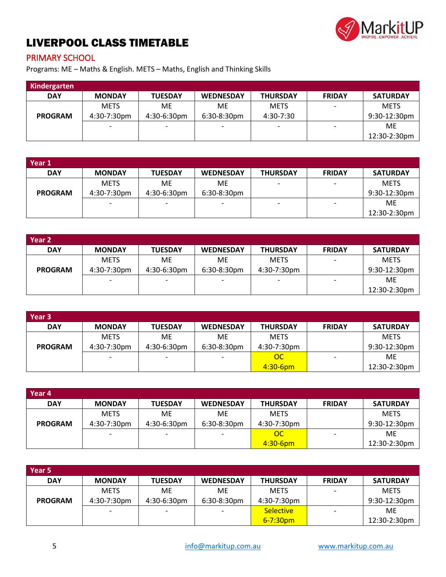

# <span id="page-4-0"></span>LIVERPOOL CLASS TIMETABLE

#### <span id="page-4-1"></span>PRIMARY SCHOOL

Programs: ME – Maths & English. METS – Maths, English and Thinking Skills

| Kindergarten   |               |                          |                          |                 |               |                 |
|----------------|---------------|--------------------------|--------------------------|-----------------|---------------|-----------------|
| <b>DAY</b>     | <b>MONDAY</b> | <b>TUESDAY</b>           | <b>WEDNESDAY</b>         | <b>THURSDAY</b> | <b>FRIDAY</b> | <b>SATURDAY</b> |
|                | <b>METS</b>   | ME                       | <b>ME</b>                | <b>METS</b>     |               | <b>METS</b>     |
| <b>PROGRAM</b> | 4:30-7:30pm   | 4:30-6:30pm              | $6:30-8:30$ pm           | 4:30-7:30       |               | 9:30-12:30pm    |
|                |               | $\overline{\phantom{0}}$ | $\overline{\phantom{0}}$ |                 |               | ME              |
|                |               |                          |                          |                 |               | 12:30-2:30pm    |

| Year 1         |                          |                          |                          |                          |                          |                 |
|----------------|--------------------------|--------------------------|--------------------------|--------------------------|--------------------------|-----------------|
| <b>DAY</b>     | <b>MONDAY</b>            | <b>TUESDAY</b>           | <b>WEDNESDAY</b>         | <b>THURSDAY</b>          | <b>FRIDAY</b>            | <b>SATURDAY</b> |
|                | <b>METS</b>              | ME                       | ME.                      | $\overline{\phantom{0}}$ | $\overline{\phantom{a}}$ | <b>METS</b>     |
| <b>PROGRAM</b> | 4:30-7:30pm              | $4:30-6:30$ pm           | 6:30-8:30pm              |                          |                          | 9:30-12:30pm    |
|                | $\overline{\phantom{0}}$ | $\overline{\phantom{0}}$ | $\overline{\phantom{0}}$ | ۰                        | $\overline{\phantom{a}}$ | ME              |
|                |                          |                          |                          |                          |                          | 12:30-2:30pm    |

| Year <sub>2</sub> |                |                          |                          |                 |                          |                 |
|-------------------|----------------|--------------------------|--------------------------|-----------------|--------------------------|-----------------|
| <b>DAY</b>        | <b>MONDAY</b>  | <b>TUESDAY</b>           | <b>WEDNESDAY</b>         | <b>THURSDAY</b> | <b>FRIDAY</b>            | <b>SATURDAY</b> |
|                   | <b>METS</b>    | ME                       | <b>ME</b>                | <b>METS</b>     | $\overline{\phantom{a}}$ | <b>METS</b>     |
| <b>PROGRAM</b>    | $4:30-7:30$ pm | $4:30-6:30$ pm           | $6:30-8:30$ pm           | 4:30-7:30pm     |                          | 9:30-12:30pm    |
|                   |                | $\overline{\phantom{0}}$ | $\overline{\phantom{0}}$ |                 |                          | ME              |
|                   |                |                          |                          |                 |                          | 12:30-2:30pm    |

| Year 3         |               |                |                  |                 |               |                 |
|----------------|---------------|----------------|------------------|-----------------|---------------|-----------------|
| <b>DAY</b>     | <b>MONDAY</b> | <b>TUESDAY</b> | <b>WEDNESDAY</b> | <b>THURSDAY</b> | <b>FRIDAY</b> | <b>SATURDAY</b> |
|                | <b>METS</b>   | <b>ME</b>      | ME.              | <b>METS</b>     |               | <b>METS</b>     |
| <b>PROGRAM</b> | 4:30-7:30pm   | $4:30-6:30$ pm | $6:30-8:30$ pm   | 4:30-7:30pm     |               | $9:30-12:30$ pm |
|                |               |                |                  | OC              |               | ME.             |
|                |               |                |                  | $4:30 - 6$ pm   |               | $12:30-2:30$ pm |

| Year 4         |               |                          |                          |                 |                          |                 |
|----------------|---------------|--------------------------|--------------------------|-----------------|--------------------------|-----------------|
| <b>DAY</b>     | <b>MONDAY</b> | <b>TUESDAY</b>           | <b>WEDNESDAY</b>         | <b>THURSDAY</b> | <b>FRIDAY</b>            | <b>SATURDAY</b> |
|                | <b>METS</b>   | <b>ME</b>                | ME.                      | <b>METS</b>     |                          | <b>METS</b>     |
| <b>PROGRAM</b> | 4:30-7:30pm   | $4:30-6:30$ pm           | $6:30-8:30$ pm           | 4:30-7:30pm     |                          | $9:30-12:30$ pm |
|                |               | $\overline{\phantom{0}}$ | $\overline{\phantom{0}}$ | OC              | $\overline{\phantom{0}}$ | ME              |
|                |               |                          |                          | 4:30-6pm        |                          | 12:30-2:30pm    |

| Year 5         |               |                          |                          |                  |                          |                 |
|----------------|---------------|--------------------------|--------------------------|------------------|--------------------------|-----------------|
| <b>DAY</b>     | <b>MONDAY</b> | <b>TUESDAY</b>           | <b>WEDNESDAY</b>         | <b>THURSDAY</b>  | <b>FRIDAY</b>            | <b>SATURDAY</b> |
|                | <b>METS</b>   | <b>ME</b>                | ME.                      | <b>METS</b>      | $\overline{\phantom{0}}$ | <b>METS</b>     |
| <b>PROGRAM</b> | 4:30-7:30pm   | 4:30-6:30pm              | $6:30-8:30$ pm           | 4:30-7:30pm      |                          | $9:30-12:30$ pm |
|                |               | $\overline{\phantom{0}}$ | $\overline{\phantom{0}}$ | <b>Selective</b> |                          | ME              |
|                |               |                          |                          | $6 - 7:30$ pm    |                          | 12:30-2:30pm    |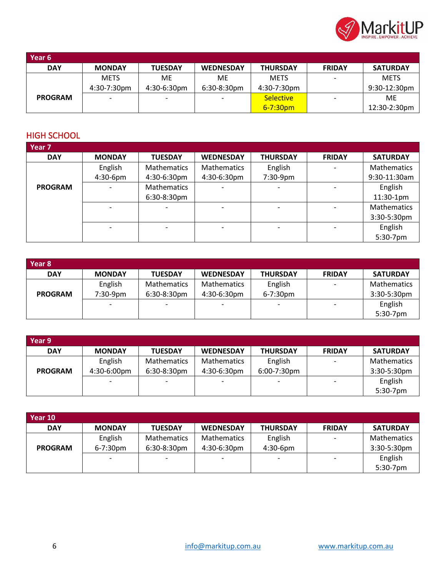

| Year 6         |                          |                |                          |                  |               |                 |
|----------------|--------------------------|----------------|--------------------------|------------------|---------------|-----------------|
| <b>DAY</b>     | <b>MONDAY</b>            | <b>TUESDAY</b> | <b>WEDNESDAY</b>         | <b>THURSDAY</b>  | <b>FRIDAY</b> | <b>SATURDAY</b> |
|                | <b>METS</b>              | ME             | МE                       | <b>METS</b>      |               | <b>METS</b>     |
|                | 4:30-7:30pm              | $4:30-6:30$ pm | $6:30-8:30$ pm           | 4:30-7:30pm      |               | $9:30-12:30$ pm |
| <b>PROGRAM</b> | $\overline{\phantom{a}}$ |                | $\overline{\phantom{0}}$ | <b>Selective</b> |               | ME              |
|                |                          |                |                          | $6 - 7:30$ pm    |               | 12:30-2:30pm    |

#### <span id="page-5-0"></span>HIGH SCHOOL

| Year 7         |               |                    |                    |                 |               |                    |
|----------------|---------------|--------------------|--------------------|-----------------|---------------|--------------------|
| <b>DAY</b>     | <b>MONDAY</b> | <b>TUESDAY</b>     | <b>WEDNESDAY</b>   | <b>THURSDAY</b> | <b>FRIDAY</b> | <b>SATURDAY</b>    |
|                | English       | <b>Mathematics</b> | <b>Mathematics</b> | English         |               | <b>Mathematics</b> |
|                | $4:30-6$ pm   | 4:30-6:30pm        | 4:30-6:30pm        | 7:30-9pm        |               | 9:30-11:30am       |
| <b>PROGRAM</b> |               | <b>Mathematics</b> |                    |                 |               | English            |
|                |               | 6:30-8:30pm        |                    |                 |               | 11:30-1pm          |
|                |               |                    |                    |                 |               | <b>Mathematics</b> |
|                |               |                    |                    |                 |               | 3:30-5:30pm        |
|                |               |                    |                    |                 |               | English            |
|                |               |                    |                    |                 |               | 5:30-7pm           |

| Year 8         |               |                    |                    |                 |               |                    |
|----------------|---------------|--------------------|--------------------|-----------------|---------------|--------------------|
| <b>DAY</b>     | <b>MONDAY</b> | <b>TUESDAY</b>     | <b>WEDNESDAY</b>   | <b>THURSDAY</b> | <b>FRIDAY</b> | <b>SATURDAY</b>    |
|                | English       | <b>Mathematics</b> | <b>Mathematics</b> | English         |               | <b>Mathematics</b> |
| <b>PROGRAM</b> | 7:30-9pm      | 6:30-8:30pm        | 4:30-6:30pm        | $6 - 7:30$ pm   |               | 3:30-5:30pm        |
|                |               |                    |                    |                 |               | English            |
|                |               |                    |                    |                 |               | 5:30-7pm           |

| Year 9         |               |                    |                    |                 |                          |                 |
|----------------|---------------|--------------------|--------------------|-----------------|--------------------------|-----------------|
| <b>DAY</b>     | <b>MONDAY</b> | <b>TUESDAY</b>     | <b>WEDNESDAY</b>   | <b>THURSDAY</b> | <b>FRIDAY</b>            | <b>SATURDAY</b> |
|                | English       | <b>Mathematics</b> | <b>Mathematics</b> | English         |                          | Mathematics     |
| <b>PROGRAM</b> | 4:30-6:00pm   | $6:30-8:30$ pm     | 4:30-6:30pm        | 6:00-7:30pm     |                          | 3:30-5:30pm     |
|                |               |                    |                    |                 | $\overline{\phantom{0}}$ | English         |
|                |               |                    |                    |                 |                          | $5:30-7$ pm     |

| Year 10        |               |                    |                  |                 |                          |                 |
|----------------|---------------|--------------------|------------------|-----------------|--------------------------|-----------------|
| <b>DAY</b>     | <b>MONDAY</b> | <b>TUESDAY</b>     | <b>WEDNESDAY</b> | <b>THURSDAY</b> | <b>FRIDAY</b>            | <b>SATURDAY</b> |
|                | English       | <b>Mathematics</b> | Mathematics      | English         |                          | Mathematics     |
| <b>PROGRAM</b> | $6 - 7:30pm$  | $6:30-8:30$ pm     | $4:30-6:30$ pm   | $4:30-6$ pm     |                          | $3:30-5:30$ pm  |
|                |               |                    |                  |                 | $\overline{\phantom{0}}$ | English         |
|                |               |                    |                  |                 |                          | $5:30-7$ pm     |